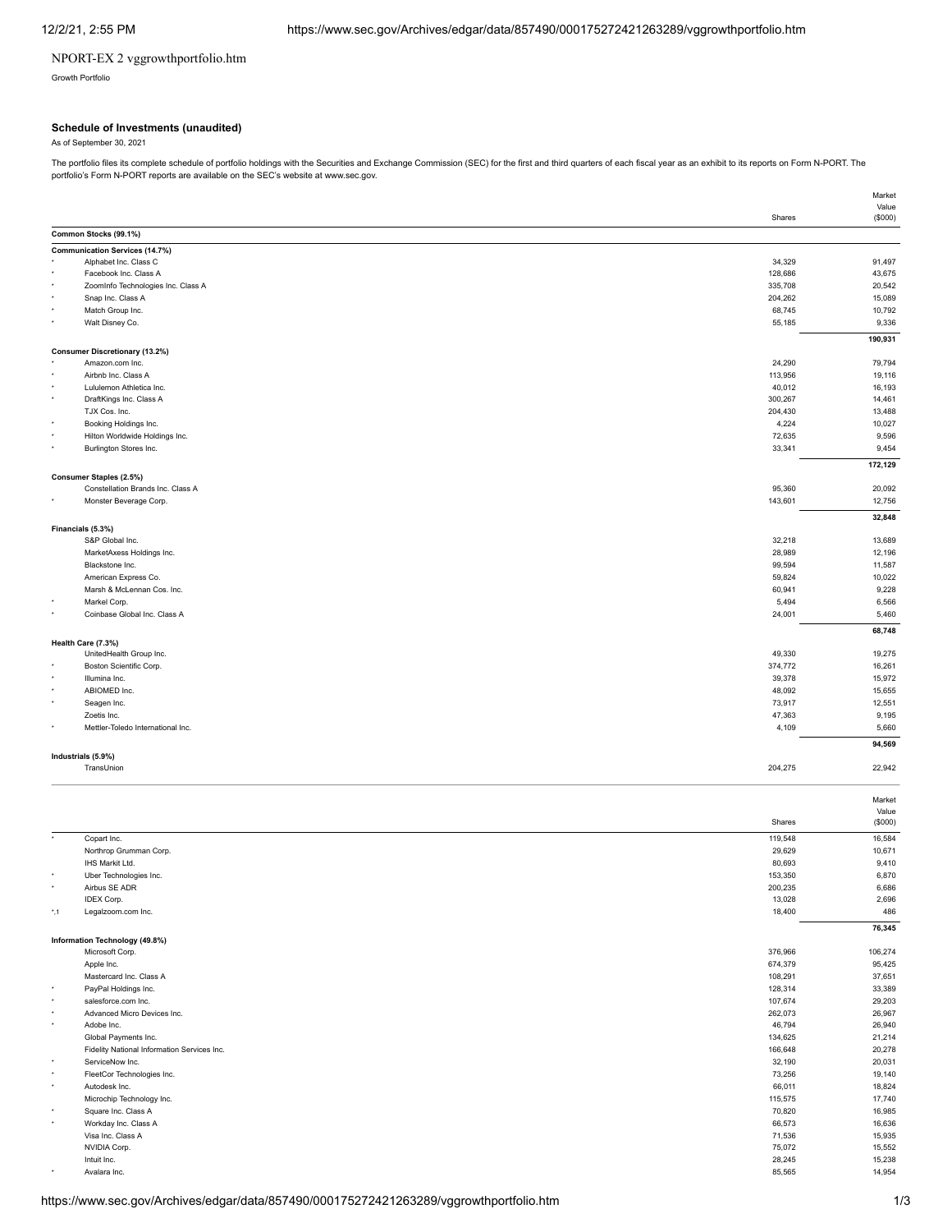## NPORT-EX 2 vggrowthportfolio.htm

Growth Portfolio

#### **Schedule of Investments (unaudited)**

As of September 30, 2021

The portfolio files its complete schedule of portfolio holdings with the Securities and Exchange Commission (SEC) for the first and third quarters of each fiscal year as an exhibit to its reports on Form N-PORT. The portfolio's Form N-PORT reports are available on the SEC's website at www.sec.gov.

|               |                                                                |         | Market          |
|---------------|----------------------------------------------------------------|---------|-----------------|
|               |                                                                |         | Value           |
|               |                                                                | Shares  | (\$000)         |
|               | Common Stocks (99.1%)                                          |         |                 |
|               | <b>Communication Services (14.7%)</b><br>Alphabet Inc. Class C | 34,329  | 91,497          |
|               | Facebook Inc. Class A                                          | 128,686 | 43,675          |
|               | ZoomInfo Technologies Inc. Class A                             | 335,708 | 20,542          |
|               | Snap Inc. Class A                                              | 204,262 | 15,089          |
|               | Match Group Inc.                                               | 68,745  | 10,792          |
|               | Walt Disney Co.                                                | 55,185  | 9,336           |
|               |                                                                |         | 190,931         |
|               | <b>Consumer Discretionary (13.2%)</b>                          |         |                 |
|               | Amazon.com Inc.                                                | 24,290  | 79,794          |
|               | Airbnb Inc. Class A                                            | 113,956 | 19,116          |
|               | Lululemon Athletica Inc.                                       | 40,012  | 16,193          |
|               | DraftKings Inc. Class A                                        | 300,267 | 14,461          |
|               | TJX Cos. Inc.                                                  | 204,430 | 13,488          |
|               | Booking Holdings Inc.                                          | 4,224   | 10,027          |
| ٠             | Hilton Worldwide Holdings Inc.                                 | 72,635  | 9,596           |
|               | Burlington Stores Inc.                                         | 33,341  | 9,454           |
|               |                                                                |         |                 |
|               | Consumer Staples (2.5%)                                        |         | 172,129         |
|               | Constellation Brands Inc. Class A                              | 95,360  | 20,092          |
|               | Monster Beverage Corp.                                         | 143,601 | 12,756          |
|               |                                                                |         | 32,848          |
|               | Financials (5.3%)                                              |         |                 |
|               | S&P Global Inc.                                                | 32,218  | 13,689          |
|               | MarketAxess Holdings Inc.                                      | 28,989  | 12,196          |
|               | Blackstone Inc.                                                | 99,594  | 11,587          |
|               | American Express Co.                                           | 59,824  | 10,022          |
|               | Marsh & McLennan Cos. Inc.                                     | 60,941  | 9,228           |
|               | Markel Corp.                                                   | 5,494   | 6,566           |
|               | Coinbase Global Inc. Class A                                   | 24,001  | 5,460           |
|               |                                                                |         | 68,748          |
|               | Health Care (7.3%)                                             |         |                 |
|               | UnitedHealth Group Inc.                                        | 49,330  | 19,275          |
|               | Boston Scientific Corp.                                        | 374,772 | 16,261          |
|               | Illumina Inc.                                                  | 39,378  | 15,972          |
|               | ABIOMED Inc.                                                   | 48,092  | 15,655          |
|               | Seagen Inc.                                                    | 73,917  | 12,551          |
|               | Zoetis Inc.                                                    | 47,363  | 9,195           |
|               | Mettler-Toledo International Inc.                              | 4,109   | 5,660           |
|               |                                                                |         | 94,569          |
|               | Industrials (5.9%)<br>TransUnion                               | 204,275 | 22,942          |
|               |                                                                |         |                 |
|               |                                                                |         | Market<br>Value |
|               |                                                                | Shares  | (\$000)         |
|               | Copart Inc.                                                    | 119,548 | 16,584          |
|               | Northrop Grumman Corp.                                         | 29,629  | 10,671          |
|               | IHS Markit Ltd.                                                | 80,693  | 9,410           |
|               | Uber Technologies Inc.                                         | 153,350 | 6,870           |
|               | Airbus SE ADR                                                  | 200,235 |                 |
|               | IDEX Corp.                                                     | 13,028  | 6,686<br>2,696  |
| $^{\star}$ ,1 | Legalzoom.com Inc.                                             | 18,400  | 486             |
|               |                                                                |         | 76,345          |
|               | Information Technology (49.8%)                                 |         |                 |
|               | Microsoft Corp.                                                | 376,966 | 106,274         |
|               | Apple Inc.                                                     | 674,379 | 95,425          |
| ٠             | Mastercard Inc. Class A                                        | 108,291 | 37,651          |
| ٠             | PayPal Holdings Inc.                                           | 128,314 | 33,389          |
| ٠             | salesforce.com Inc.<br>Advanced Micro Devices Inc.             | 107,674 | 29,203          |
| ٠             |                                                                | 262,073 | 26,967          |
|               | Adobe Inc.                                                     | 46,794  | 26,940          |
|               | Global Payments Inc.                                           | 134,625 | 21,214          |
|               | Fidelity National Information Services Inc.                    | 166,648 | 20,278          |
| $\star$       | ServiceNow Inc.                                                | 32,190  | 20,031          |
|               | FleetCor Technologies Inc.                                     | 73,256  | 19,140          |
|               | Autodesk Inc.                                                  | 66,011  | 18,824          |
|               | Microchip Technology Inc.                                      | 115,575 | 17,740          |
|               | Square Inc. Class A                                            | 70,820  | 16,985          |
|               | Workday Inc. Class A                                           | 66,573  | 16,636          |
|               | Visa Inc. Class A                                              | 71,536  | 15,935          |
|               | NVIDIA Corp.                                                   | 75,072  | 15,552          |
|               | Intuit Inc.                                                    | 28,245  | 15,238          |
|               | Avalara Inc.                                                   | 85,565  | 14,954          |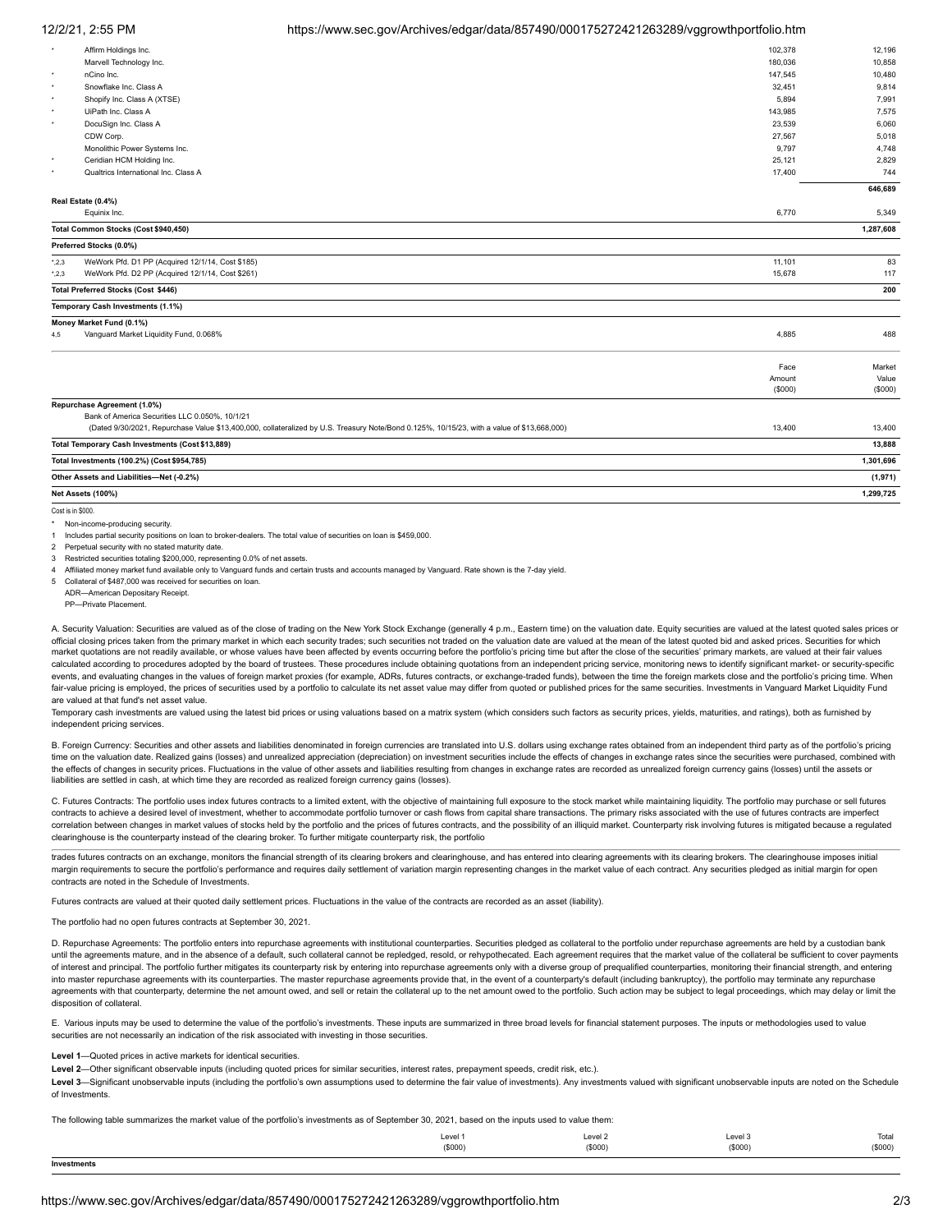### 12/2/21, 2:55 PM https://www.sec.gov/Archives/edgar/data/857490/000175272421263289/vggrowthportfolio.htm

| $\star$     | Affirm Holdings Inc.                                                                                                                       | 102,378           | 12,196           |
|-------------|--------------------------------------------------------------------------------------------------------------------------------------------|-------------------|------------------|
|             | Marvell Technology Inc.                                                                                                                    | 180,036           | 10,858           |
| $\;$        | nCino Inc.                                                                                                                                 | 147,545           | 10,480           |
| ٠           | Snowflake Inc. Class A                                                                                                                     | 32,451            | 9,814            |
| ٠           | Shopify Inc. Class A (XTSE)                                                                                                                | 5.894             | 7,991            |
| ٠           | UiPath Inc. Class A                                                                                                                        | 143,985           | 7,575            |
| ۰           | DocuSign Inc. Class A                                                                                                                      | 23,539            | 6,060            |
|             | CDW Corp.                                                                                                                                  | 27,567            | 5,018            |
|             | Monolithic Power Systems Inc.                                                                                                              | 9,797             | 4,748            |
| ۰           | Ceridian HCM Holding Inc.                                                                                                                  | 25,121            | 2,829            |
| ٠           | Qualtrics International Inc. Class A                                                                                                       | 17,400            | 744              |
|             |                                                                                                                                            |                   | 646,689          |
|             | Real Estate (0.4%)                                                                                                                         |                   |                  |
|             | Equinix Inc.                                                                                                                               | 6,770             | 5,349            |
|             | Total Common Stocks (Cost \$940,450)                                                                                                       |                   | 1,287,608        |
|             | Preferred Stocks (0.0%)                                                                                                                    |                   |                  |
| $^*$ ,2,3   | WeWork Pfd. D1 PP (Acquired 12/1/14, Cost \$185)                                                                                           | 11,101            | 83               |
| $^*$ , 2, 3 | WeWork Pfd. D2 PP (Acquired 12/1/14, Cost \$261)                                                                                           | 15,678            | 117              |
|             | Total Preferred Stocks (Cost \$446)                                                                                                        |                   | 200              |
|             | Temporary Cash Investments (1.1%)                                                                                                          |                   |                  |
|             | Money Market Fund (0.1%)                                                                                                                   |                   |                  |
| 4.5         | Vanguard Market Liquidity Fund, 0.068%                                                                                                     | 4,885             | 488              |
|             |                                                                                                                                            |                   |                  |
|             |                                                                                                                                            | Face              | Market           |
|             |                                                                                                                                            | Amount<br>(\$000) | Value<br>(\$000) |
|             |                                                                                                                                            |                   |                  |
|             | Repurchase Agreement (1.0%)                                                                                                                |                   |                  |
|             | Bank of America Securities LLC 0.050%, 10/1/21                                                                                             |                   |                  |
|             | (Dated 9/30/2021, Repurchase Value \$13,400,000, collateralized by U.S. Treasury Note/Bond 0.125%, 10/15/23, with a value of \$13,668,000) | 13,400            | 13,400           |
|             | Total Temporary Cash Investments (Cost \$13,889)                                                                                           |                   | 13,888           |
|             | Total Investments (100.2%) (Cost \$954,785)                                                                                                |                   | 1,301,696        |
|             | Other Assets and Liabilities-Net (-0.2%)                                                                                                   |                   | (1, 971)         |
|             |                                                                                                                                            |                   |                  |

**Net Assets (100%) 1,299,725**

Cost is in \$000

Non-income-producing security.

1 Includes partial security positions on loan to broker-dealers. The total value of securities on loan is \$459,000. Perpetual security with no stated maturity date.

Restricted securities totaling \$200,000, representing 0.0% of net assets.

4 Affiliated money market fund available only to Vanguard funds and certain trusts and accounts managed by Vanguard. Rate shown is the 7-day yield.

5 Collateral of \$487,000 was received for securities on loan.

ADR—American Depositary Receipt. PP—Private Placement.

A. Security Valuation: Securities are valued as of the close of trading on the New York Stock Exchange (generally 4 p.m., Eastern time) on the valuation date. Equity securities are valued at the latest quoted sales prices official closing prices taken from the primary market in which each security trades; such securities not traded on the valuation date are valued at the mean of the latest quoted bid and asked prices. Securities for which market quotations are not readily available, or whose values have been affected by events occurring before the portfolio's pricing time but after the close of the securities' primary markets, are valued at their fair value calculated according to procedures adopted by the board of trustees. These procedures include obtaining quotations from an independent pricing service, monitoring news to identify significant market- or security-specific events, and evaluating changes in the values of foreign market proxies (for example, ADRs, futures contracts, or exchange-traded funds), between the time the foreign markets close and the portfolio's pricing time. When fair-value pricing is employed, the prices of securities used by a portfolio to calculate its net asset value may differ from quoted or published prices for the same securities. Investments in Vanguard Market Liquidity Fun are valued at that fund's net asset value.

Temporary cash investments are valued using the latest bid prices or using valuations based on a matrix system (which considers such factors as security prices, yields, maturities, and ratings), both as furnished by independent pricing services.

B. Foreign Currency: Securities and other assets and liabilities denominated in foreign currencies are translated into U.S. dollars using exchange rates obtained from an independent third party as of the portfolio's pricing time on the valuation date. Realized gains (losses) and unrealized appreciation (depreciation) on investment securities include the effects of changes in exchange rates since the securities were purchased, combined with the effects of changes in security prices. Fluctuations in the value of other assets and liabilities resulting from changes in exchange rates are recorded as unrealized foreign currency gains (losses) until the assets or liabilities are settled in cash, at which time they are recorded as realized foreign currency gains (losses).

C. Futures Contracts: The portfolio uses index futures contracts to a limited extent, with the objective of maintaining full exposure to the stock market while maintaining liquidity. The portfolio may purchase or sell futu contracts to achieve a desired level of investment, whether to accommodate portfolio turnover or cash flows from capital share transactions. The primary risks associated with the use of futures contracts are imperfect correlation between changes in market values of stocks held by the portfolio and the prices of futures contracts, and the possibility of an illiquid market. Counterparty risk involving futures is mitigated because a regula clearinghouse is the counterparty instead of the clearing broker. To further mitigate counterparty risk, the portfolio

trades futures contracts on an exchange, monitors the financial strength of its clearing brokers and clearinghouse, and has entered into clearing agreements with its clearing brokers. The clearinghouse imposes initial margin requirements to secure the portfolio's performance and requires daily settlement of variation margin representing changes in the market value of each contract. Any securities pledged as initial margin for open contracts are noted in the Schedule of Investments.

Futures contracts are valued at their quoted daily settlement prices. Fluctuations in the value of the contracts are recorded as an asset (liability).

The portfolio had no open futures contracts at September 30, 2021.

D. Repurchase Agreements: The portfolio enters into repurchase agreements with institutional counterparties. Securities pledged as collateral to the portfolio under repurchase agreements are held by a custodian bank until the agreements mature, and in the absence of a default, such collateral cannot be repledged, resold, or rehypothecated. Each agreement requires that the market value of the collateral be sufficient to cover payments of interest and principal. The portfolio further mitigates its counterparty risk by entering into repurchase agreements only with a diverse group of prequalified counterparties, monitoring their financial strength, and ent into master repurchase agreements with its counterparties. The master repurchase agreements provide that, in the event of a counterparty's default (including bankruptcy), the portfolio may terminate any repurchase agreements with that counterparty, determine the net amount owed, and sell or retain the collateral up to the net amount owed to the portfolio. Such action may be subject to legal proceedings, which may delay or limit the disposition of collateral

E. Various inputs may be used to determine the value of the portfolio's investments. These inputs are summarized in three broad levels for financial statement purposes. The inputs or methodologies used to value securities are not necessarily an indication of the risk associated with investing in those securities.

#### **Level 1**—Quoted prices in active markets for identical securities.

**Level 2**—Other significant observable inputs (including quoted prices for similar securities, interest rates, prepayment speeds, credit risk, etc.).

Level 3-Significant unobservable inputs (including the portfolio's own assumptions used to determine the fair value of investments). Any investments valued with significant unobservable inputs are noted on the Schedule of Investments.

The following table summarizes the market value of the portfolio's investments as of September 30, 2021, based on the inputs used to value them:

| the contract of the contract of the contract of<br>Invoetr<br>Investments |         |                    |         |                   |
|---------------------------------------------------------------------------|---------|--------------------|---------|-------------------|
|                                                                           | (\$000) | (S000)             | (\$000) | (9000)<br>1 YOUU. |
|                                                                           | Level 1 | Level <sub>2</sub> | Level 3 | Total             |